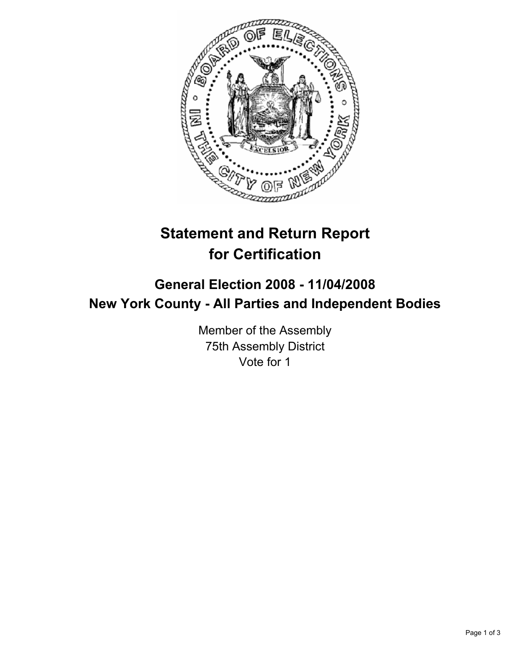

# **Statement and Return Report for Certification**

# **General Election 2008 - 11/04/2008 New York County - All Parties and Independent Bodies**

Member of the Assembly 75th Assembly District Vote for 1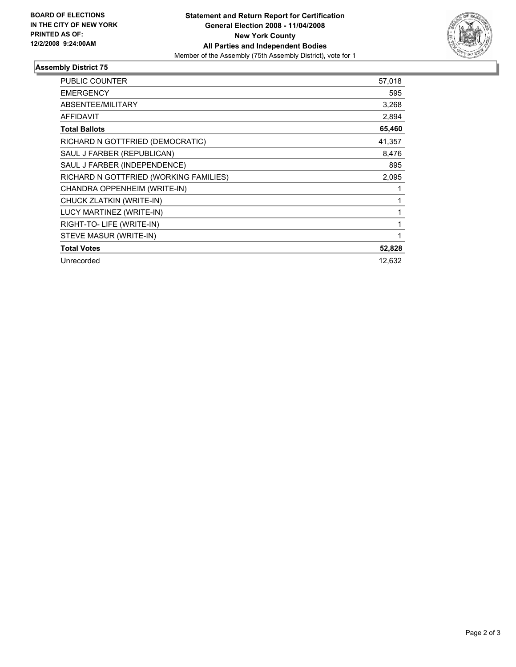

## **Assembly District 75**

| <b>PUBLIC COUNTER</b>                  | 57,018 |
|----------------------------------------|--------|
| <b>EMERGENCY</b>                       | 595    |
| ABSENTEE/MILITARY                      | 3,268  |
| <b>AFFIDAVIT</b>                       | 2,894  |
| <b>Total Ballots</b>                   | 65,460 |
| RICHARD N GOTTFRIED (DEMOCRATIC)       | 41,357 |
| SAUL J FARBER (REPUBLICAN)             | 8,476  |
| SAUL J FARBER (INDEPENDENCE)           | 895    |
| RICHARD N GOTTFRIED (WORKING FAMILIES) | 2,095  |
| CHANDRA OPPENHEIM (WRITE-IN)           |        |
| CHUCK ZLATKIN (WRITE-IN)               |        |
| LUCY MARTINEZ (WRITE-IN)               |        |
| RIGHT-TO-LIFE (WRITE-IN)               |        |
| STEVE MASUR (WRITE-IN)                 |        |
| <b>Total Votes</b>                     | 52,828 |
| Unrecorded                             | 12.632 |